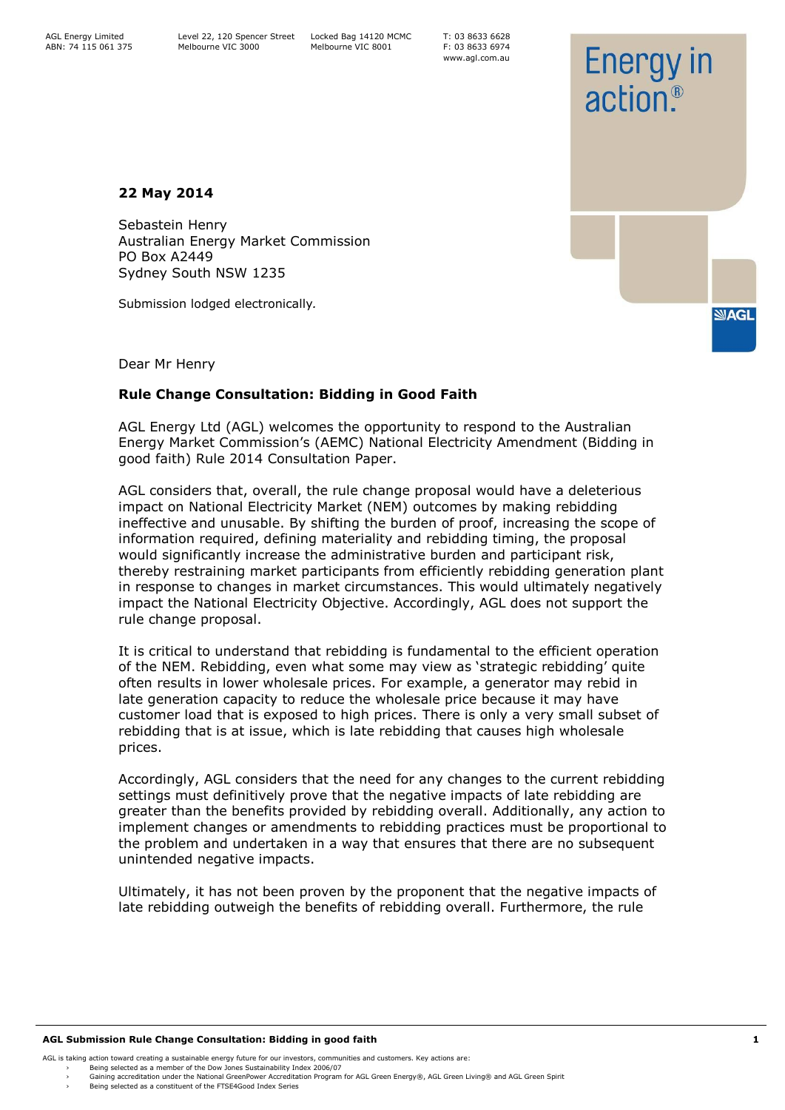T: 03 8633 6628 F: 03 8633 6974 www.agl.com.au

**22 May 2014**

Sebastein Henry Australian Energy Market Commission PO Box A2449 Sydney South NSW 1235

Submission lodged electronically*.*

**NAGL** 

**Energy in** 

 $\pi$ ction<sup>®</sup>

Dear Mr Henry

# **Rule Change Consultation: Bidding in Good Faith**

AGL Energy Ltd (AGL) welcomes the opportunity to respond to the Australian Energy Market Commission's (AEMC) National Electricity Amendment (Bidding in good faith) Rule 2014 Consultation Paper.

AGL considers that, overall, the rule change proposal would have a deleterious impact on National Electricity Market (NEM) outcomes by making rebidding ineffective and unusable. By shifting the burden of proof, increasing the scope of information required, defining materiality and rebidding timing, the proposal would significantly increase the administrative burden and participant risk, thereby restraining market participants from efficiently rebidding generation plant in response to changes in market circumstances. This would ultimately negatively impact the National Electricity Objective. Accordingly, AGL does not support the rule change proposal.

It is critical to understand that rebidding is fundamental to the efficient operation of the NEM. Rebidding, even what some may view as 'strategic rebidding' quite often results in lower wholesale prices. For example, a generator may rebid in late generation capacity to reduce the wholesale price because it may have customer load that is exposed to high prices. There is only a very small subset of rebidding that is at issue, which is late rebidding that causes high wholesale prices.

Accordingly, AGL considers that the need for any changes to the current rebidding settings must definitively prove that the negative impacts of late rebidding are greater than the benefits provided by rebidding overall. Additionally, any action to implement changes or amendments to rebidding practices must be proportional to the problem and undertaken in a way that ensures that there are no subsequent unintended negative impacts.

Ultimately, it has not been proven by the proponent that the negative impacts of late rebidding outweigh the benefits of rebidding overall. Furthermore, the rule

#### **AGL Submission Rule Change Consultation: Bidding in good faith 1**

- AGL is taking action toward creating a sustainable energy future for our investors, communities and customers. Key actions are:
	- Being selected as a member of the Dow Jones Sustainability Index 2006/07 › Gaining accreditation under the National GreenPower Accreditation Program for AGL Green Energy®, AGL Green Living® and AGL Green Spirit
	- Being selected as a constituent of the FTSE4Good Index Series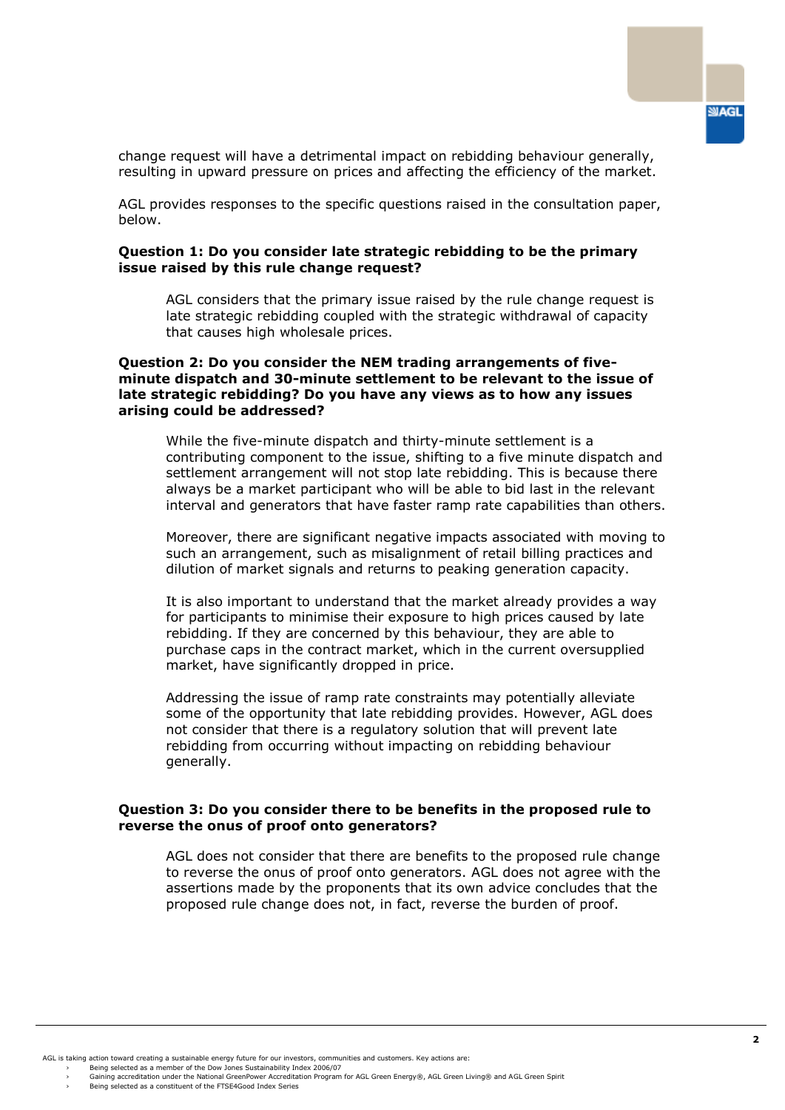change request will have a detrimental impact on rebidding behaviour generally, resulting in upward pressure on prices and affecting the efficiency of the market.

AGL provides responses to the specific questions raised in the consultation paper, below.

## **Question 1: Do you consider late strategic rebidding to be the primary issue raised by this rule change request?**

AGL considers that the primary issue raised by the rule change request is late strategic rebidding coupled with the strategic withdrawal of capacity that causes high wholesale prices.

#### **Question 2: Do you consider the NEM trading arrangements of fiveminute dispatch and 30-minute settlement to be relevant to the issue of late strategic rebidding? Do you have any views as to how any issues arising could be addressed?**

While the five-minute dispatch and thirty-minute settlement is a contributing component to the issue, shifting to a five minute dispatch and settlement arrangement will not stop late rebidding. This is because there always be a market participant who will be able to bid last in the relevant interval and generators that have faster ramp rate capabilities than others.

Moreover, there are significant negative impacts associated with moving to such an arrangement, such as misalignment of retail billing practices and dilution of market signals and returns to peaking generation capacity.

It is also important to understand that the market already provides a way for participants to minimise their exposure to high prices caused by late rebidding. If they are concerned by this behaviour, they are able to purchase caps in the contract market, which in the current oversupplied market, have significantly dropped in price.

Addressing the issue of ramp rate constraints may potentially alleviate some of the opportunity that late rebidding provides. However, AGL does not consider that there is a regulatory solution that will prevent late rebidding from occurring without impacting on rebidding behaviour generally.

#### **Question 3: Do you consider there to be benefits in the proposed rule to reverse the onus of proof onto generators?**

AGL does not consider that there are benefits to the proposed rule change to reverse the onus of proof onto generators. AGL does not agree with the assertions made by the proponents that its own advice concludes that the proposed rule change does not, in fact, reverse the burden of proof.

AGL is taking action toward creating a sustainable energy future for our investors, communities and customers. Key actions are:

<sup>›</sup> Being selected as a member of the Dow Jones Sustainability Index 2006/07<br>› Gaining accreditation under the National GreenPower Accreditation Program for AGL Green Energy®, AGL Green Living® and AGL Green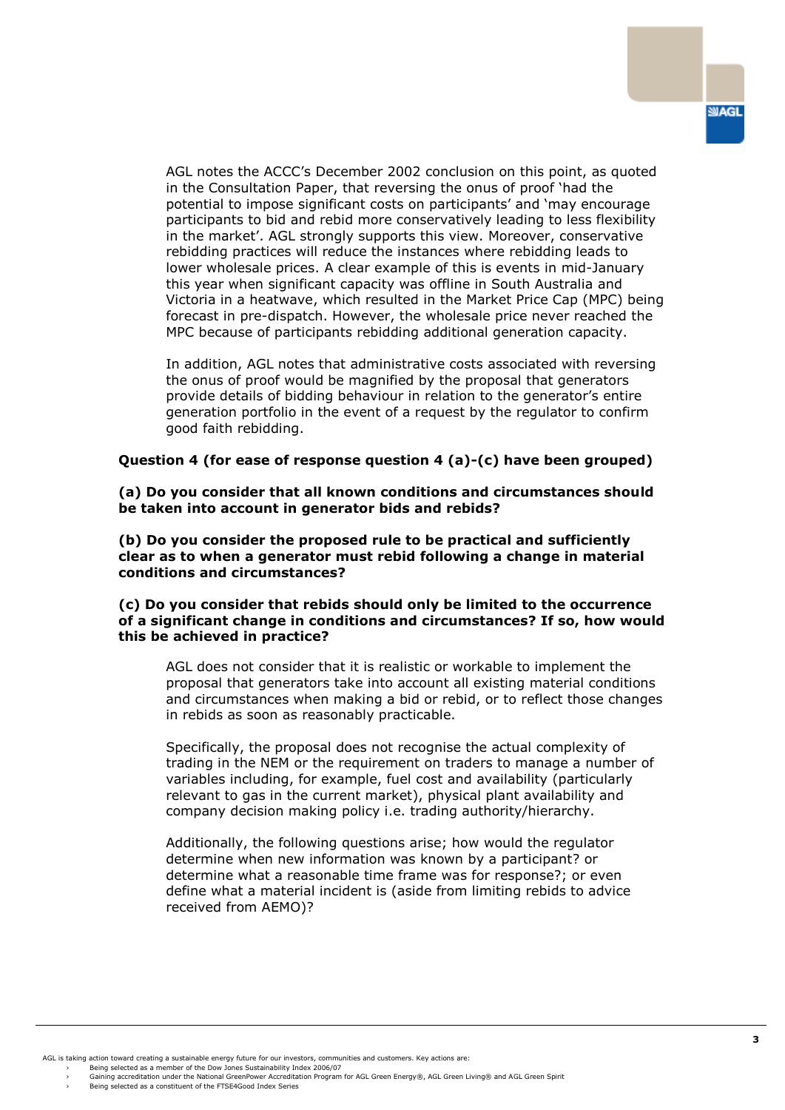AGL notes the ACCC's December 2002 conclusion on this point, as quoted in the Consultation Paper, that reversing the onus of proof 'had the potential to impose significant costs on participants' and 'may encourage participants to bid and rebid more conservatively leading to less flexibility in the market'. AGL strongly supports this view. Moreover, conservative rebidding practices will reduce the instances where rebidding leads to lower wholesale prices. A clear example of this is events in mid-January this year when significant capacity was offline in South Australia and Victoria in a heatwave, which resulted in the Market Price Cap (MPC) being forecast in pre-dispatch. However, the wholesale price never reached the MPC because of participants rebidding additional generation capacity.

In addition, AGL notes that administrative costs associated with reversing the onus of proof would be magnified by the proposal that generators provide details of bidding behaviour in relation to the generator's entire generation portfolio in the event of a request by the regulator to confirm good faith rebidding.

### **Question 4 (for ease of response question 4 (a)-(c) have been grouped)**

**(a) Do you consider that all known conditions and circumstances should be taken into account in generator bids and rebids?** 

**(b) Do you consider the proposed rule to be practical and sufficiently clear as to when a generator must rebid following a change in material conditions and circumstances?** 

### **(c) Do you consider that rebids should only be limited to the occurrence of a significant change in conditions and circumstances? If so, how would this be achieved in practice?**

AGL does not consider that it is realistic or workable to implement the proposal that generators take into account all existing material conditions and circumstances when making a bid or rebid, or to reflect those changes in rebids as soon as reasonably practicable.

Specifically, the proposal does not recognise the actual complexity of trading in the NEM or the requirement on traders to manage a number of variables including, for example, fuel cost and availability (particularly relevant to gas in the current market), physical plant availability and company decision making policy i.e. trading authority/hierarchy.

Additionally, the following questions arise; how would the regulator determine when new information was known by a participant? or determine what a reasonable time frame was for response?; or even define what a material incident is (aside from limiting rebids to advice received from AEMO)?

AGL is taking action toward creating a sustainable energy future for our investors, communities and customers. Key actions are:

› Being selected as a member of the Dow Jones Sustainability Index 2006/07<br>› Gaining accreditation under the National GreenPower Accreditation Program for AGL Green Energy®, AGL Green Living® and AGL Green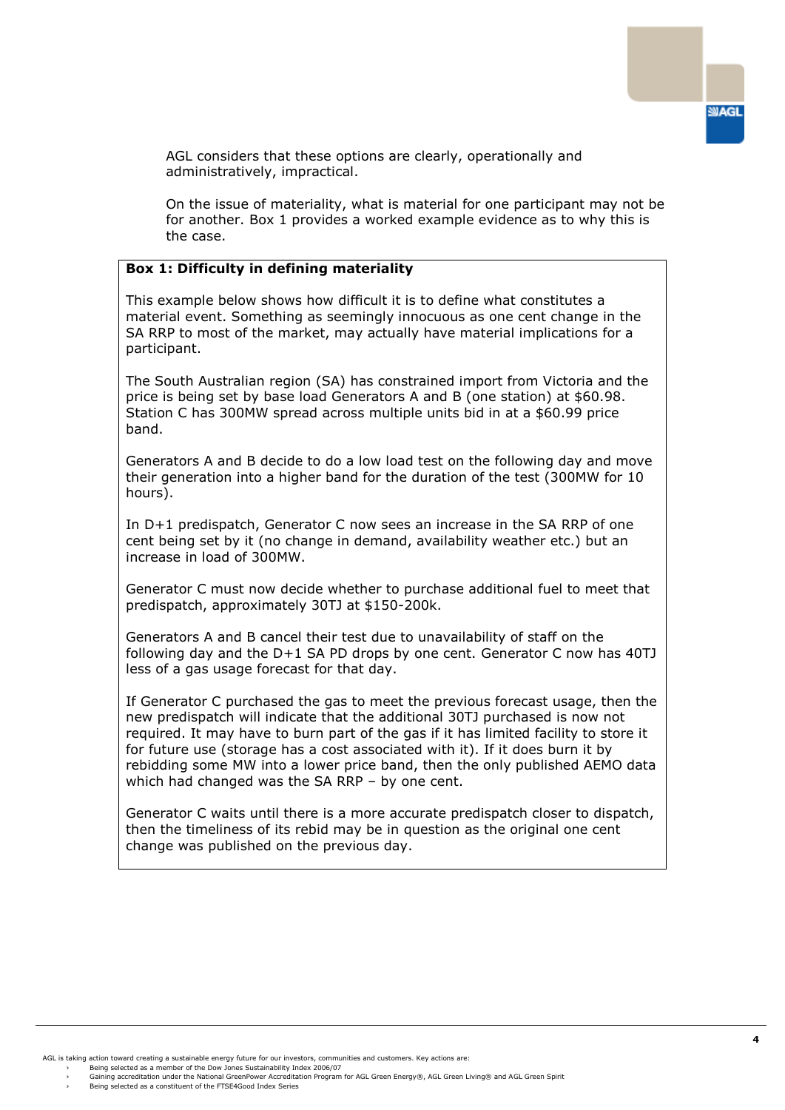

AGL considers that these options are clearly, operationally and administratively, impractical.

On the issue of materiality, what is material for one participant may not be for another. Box 1 provides a worked example evidence as to why this is the case.

## **Box 1: Difficulty in defining materiality**

This example below shows how difficult it is to define what constitutes a material event. Something as seemingly innocuous as one cent change in the SA RRP to most of the market, may actually have material implications for a participant.

The South Australian region (SA) has constrained import from Victoria and the price is being set by base load Generators A and B (one station) at \$60.98. Station C has 300MW spread across multiple units bid in at a \$60.99 price band.

Generators A and B decide to do a low load test on the following day and move their generation into a higher band for the duration of the test (300MW for 10 hours).

In D+1 predispatch, Generator C now sees an increase in the SA RRP of one cent being set by it (no change in demand, availability weather etc.) but an increase in load of 300MW.

Generator C must now decide whether to purchase additional fuel to meet that predispatch, approximately 30TJ at \$150-200k.

Generators A and B cancel their test due to unavailability of staff on the following day and the D+1 SA PD drops by one cent. Generator C now has 40TJ less of a gas usage forecast for that day.

If Generator C purchased the gas to meet the previous forecast usage, then the new predispatch will indicate that the additional 30TJ purchased is now not required. It may have to burn part of the gas if it has limited facility to store it for future use (storage has a cost associated with it). If it does burn it by rebidding some MW into a lower price band, then the only published AEMO data which had changed was the SA RRP – by one cent.

Generator C waits until there is a more accurate predispatch closer to dispatch, then the timeliness of its rebid may be in question as the original one cent change was published on the previous day.

AGL is taking action toward creating a sustainable energy future for our investors, communities and customers. Key actions are:

<sup>›</sup> Being selected as a member of the Dow Jones Sustainability Index 2006/07<br>› Gaining accreditation under the National GreenPower Accreditation Program for AGL Green Energy®, AGL Green Living® and AGL Green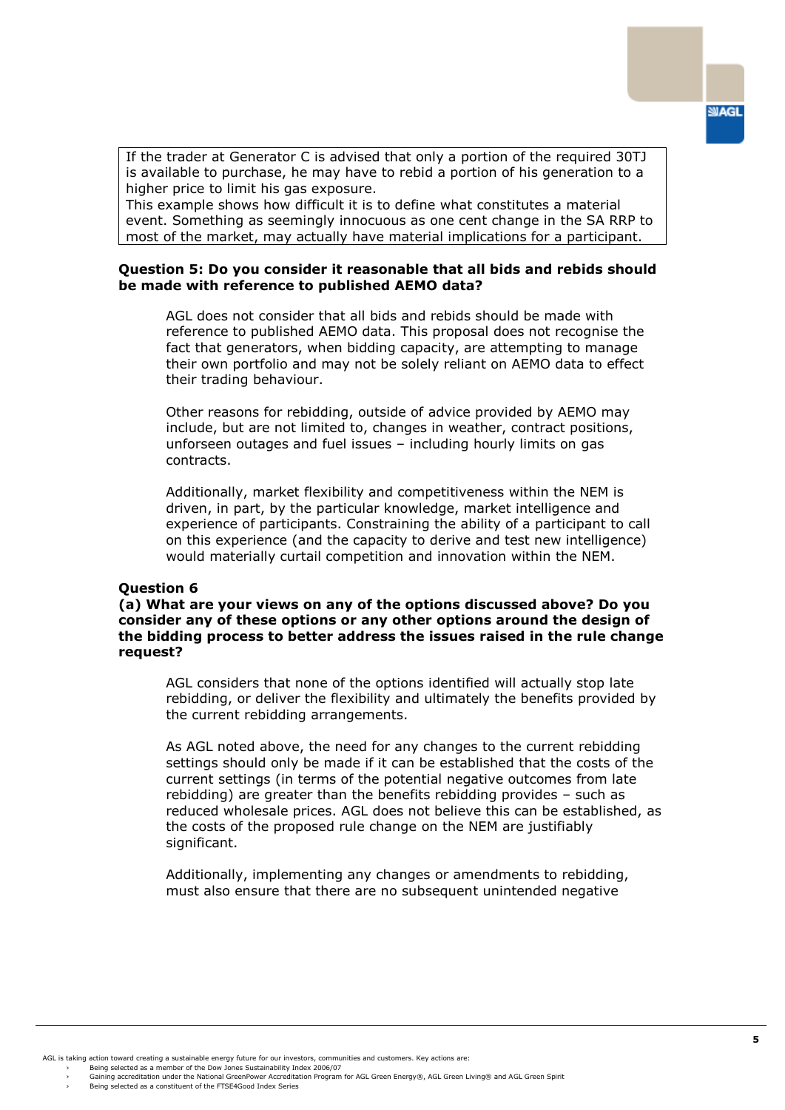If the trader at Generator C is advised that only a portion of the required 30TJ is available to purchase, he may have to rebid a portion of his generation to a higher price to limit his gas exposure.

This example shows how difficult it is to define what constitutes a material event. Something as seemingly innocuous as one cent change in the SA RRP to most of the market, may actually have material implications for a participant.

## **Question 5: Do you consider it reasonable that all bids and rebids should be made with reference to published AEMO data?**

AGL does not consider that all bids and rebids should be made with reference to published AEMO data. This proposal does not recognise the fact that generators, when bidding capacity, are attempting to manage their own portfolio and may not be solely reliant on AEMO data to effect their trading behaviour.

Other reasons for rebidding, outside of advice provided by AEMO may include, but are not limited to, changes in weather, contract positions, unforseen outages and fuel issues – including hourly limits on gas contracts.

Additionally, market flexibility and competitiveness within the NEM is driven, in part, by the particular knowledge, market intelligence and experience of participants. Constraining the ability of a participant to call on this experience (and the capacity to derive and test new intelligence) would materially curtail competition and innovation within the NEM.

#### **Question 6**

**(a) What are your views on any of the options discussed above? Do you consider any of these options or any other options around the design of the bidding process to better address the issues raised in the rule change request?** 

AGL considers that none of the options identified will actually stop late rebidding, or deliver the flexibility and ultimately the benefits provided by the current rebidding arrangements.

As AGL noted above, the need for any changes to the current rebidding settings should only be made if it can be established that the costs of the current settings (in terms of the potential negative outcomes from late rebidding) are greater than the benefits rebidding provides – such as reduced wholesale prices. AGL does not believe this can be established, as the costs of the proposed rule change on the NEM are justifiably significant.

Additionally, implementing any changes or amendments to rebidding, must also ensure that there are no subsequent unintended negative

AGL is taking action toward creating a sustainable energy future for our investors, communities and customers. Key actions are:

› Being selected as a member of the Dow Jones Sustainability Index 2006/07<br>› Gaining accreditation under the National GreenPower Accreditation Program for AGL Green Energy®, AGL Green Living® and AGL Green